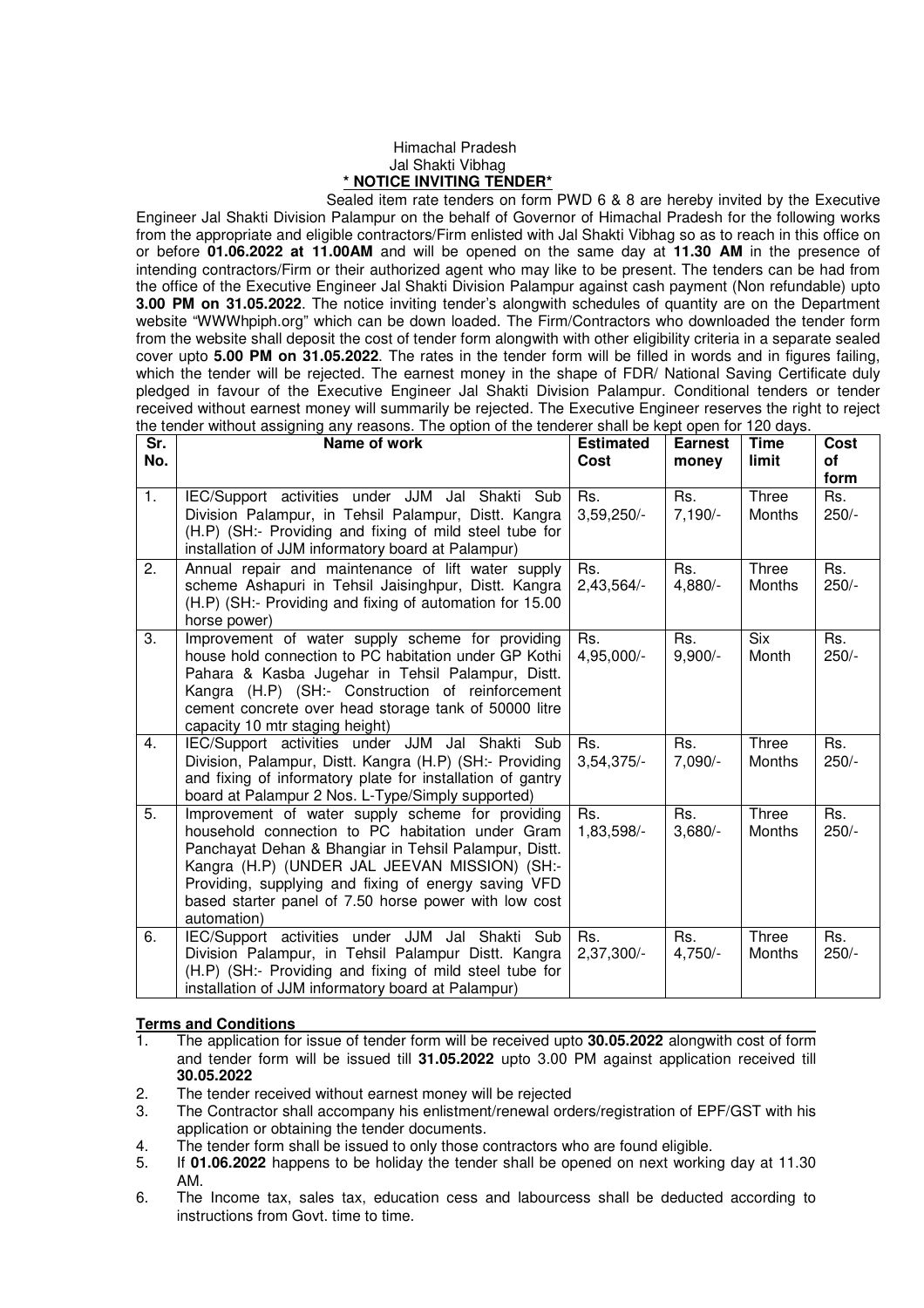## Himachal Pradesh Jal Shakti Vibhag **\* NOTICE INVITING TENDER\***

 Sealed item rate tenders on form PWD 6 & 8 are hereby invited by the Executive Engineer Jal Shakti Division Palampur on the behalf of Governor of Himachal Pradesh for the following works from the appropriate and eligible contractors/Firm enlisted with Jal Shakti Vibhag so as to reach in this office on or before **01.06.2022 at 11.00AM** and will be opened on the same day at **11.30 AM** in the presence of intending contractors/Firm or their authorized agent who may like to be present. The tenders can be had from the office of the Executive Engineer Jal Shakti Division Palampur against cash payment (Non refundable) upto **3.00 PM on 31.05.2022**. The notice inviting tender's alongwith schedules of quantity are on the Department website "WWWhpiph.org" which can be down loaded. The Firm/Contractors who downloaded the tender form from the website shall deposit the cost of tender form alongwith with other eligibility criteria in a separate sealed cover upto **5.00 PM on 31.05.2022**. The rates in the tender form will be filled in words and in figures failing, which the tender will be rejected. The earnest money in the shape of FDR/ National Saving Certificate duly pledged in favour of the Executive Engineer Jal Shakti Division Palampur. Conditional tenders or tender received without earnest money will summarily be rejected. The Executive Engineer reserves the right to reject the tender without assigning any reasons. The option of the tenderer shall be kept open for 120 days.

| $\overline{\mathsf{Sr.}}$ | Name of work                                                                                                                                                                                                                                                                                                                                   | <b>Estimated</b>    | <b>Earnest</b>   | Time                   | <b>Cost</b>            |
|---------------------------|------------------------------------------------------------------------------------------------------------------------------------------------------------------------------------------------------------------------------------------------------------------------------------------------------------------------------------------------|---------------------|------------------|------------------------|------------------------|
| No.                       |                                                                                                                                                                                                                                                                                                                                                | Cost                | money            | limit                  | οf                     |
| 1.                        | IEC/Support activities under JJM Jal Shakti Sub<br>Division Palampur, in Tehsil Palampur, Distt. Kangra                                                                                                                                                                                                                                        | Rs.<br>$3,59,250/-$ | Rs.<br>$7,190/-$ | Three<br><b>Months</b> | form<br>Rs.<br>$250/-$ |
|                           | (H.P) (SH:- Providing and fixing of mild steel tube for<br>installation of JJM informatory board at Palampur)                                                                                                                                                                                                                                  |                     |                  |                        |                        |
| 2.                        | Annual repair and maintenance of lift water supply<br>scheme Ashapuri in Tehsil Jaisinghpur, Distt. Kangra<br>(H.P) (SH:- Providing and fixing of automation for 15.00<br>horse power)                                                                                                                                                         | Rs.<br>$2,43,564/-$ | Rs.<br>4,880/-   | Three<br><b>Months</b> | Rs.<br>$250/-$         |
| 3.                        | Improvement of water supply scheme for providing<br>house hold connection to PC habitation under GP Kothi<br>Pahara & Kasba Jugehar in Tehsil Palampur, Distt.<br>Kangra (H.P) (SH:- Construction of reinforcement<br>cement concrete over head storage tank of 50000 litre<br>capacity 10 mtr staging height)                                 | Rs.<br>4,95,000/-   | Rs.<br>$9,900/-$ | <b>Six</b><br>Month    | Rs.<br>$250/-$         |
| 4.                        | IEC/Support activities under JJM Jal Shakti Sub<br>Division, Palampur, Distt. Kangra (H.P) (SH:- Providing<br>and fixing of informatory plate for installation of gantry<br>board at Palampur 2 Nos. L-Type/Simply supported)                                                                                                                  | Rs.<br>$3,54,375/-$ | Rs.<br>7,090/-   | Three<br>Months        | Rs.<br>$250/-$         |
| 5.                        | Improvement of water supply scheme for providing<br>household connection to PC habitation under Gram<br>Panchayat Dehan & Bhangiar in Tehsil Palampur, Distt.<br>Kangra (H.P) (UNDER JAL JEEVAN MISSION) (SH:-<br>Providing, supplying and fixing of energy saving VFD<br>based starter panel of 7.50 horse power with low cost<br>automation) | Rs.<br>1,83,598/-   | Rs.<br>$3,680/-$ | Three<br>Months        | Rs.<br>$250/-$         |
| 6.                        | IEC/Support activities under JJM Jal Shakti Sub<br>Division Palampur, in Tehsil Palampur Distt. Kangra<br>(H.P) (SH:- Providing and fixing of mild steel tube for<br>installation of JJM informatory board at Palampur)                                                                                                                        | Rs.<br>2,37,300/-   | Rs.<br>$4,750/-$ | Three<br>Months        | Rs.<br>$250/-$         |

## **Terms and Conditions**

- 1. The application for issue of tender form will be received upto **30.05.2022** alongwith cost of form and tender form will be issued till **31.05.2022** upto 3.00 PM against application received till **30.05.2022**
- 2. The tender received without earnest money will be rejected
- 3. The Contractor shall accompany his enlistment/renewal orders/registration of EPF/GST with his application or obtaining the tender documents.
- 4. The tender form shall be issued to only those contractors who are found eligible.
- 5. If **01.06.2022** happens to be holiday the tender shall be opened on next working day at 11.30 AM.
- 6. The Income tax, sales tax, education cess and labourcess shall be deducted according to instructions from Govt. time to time.